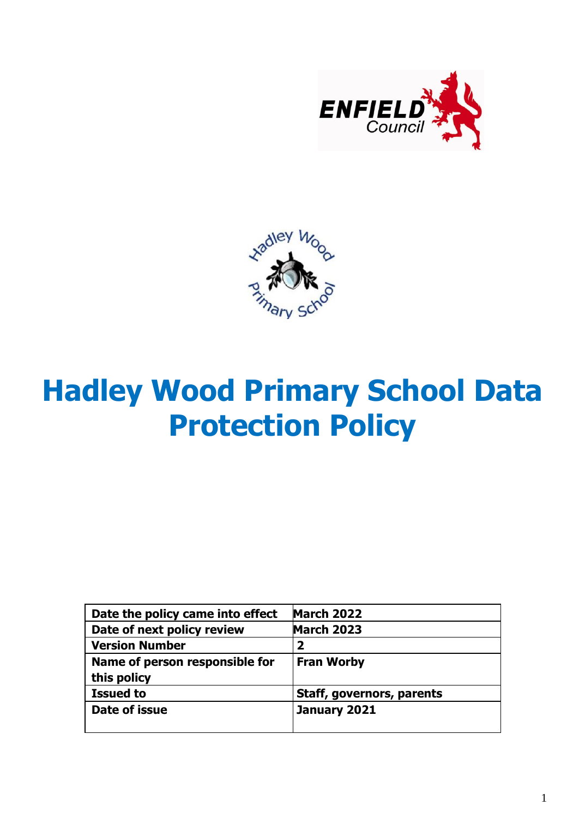



# **Hadley Wood Primary School Data Protection Policy**

| Date the policy came into effect | <b>March 2022</b>         |
|----------------------------------|---------------------------|
| Date of next policy review       | <b>March 2023</b>         |
| <b>Version Number</b>            | 2                         |
| Name of person responsible for   | <b>Fran Worby</b>         |
| this policy                      |                           |
| <b>Issued to</b>                 | Staff, governors, parents |
| Date of issue                    | January 2021              |
|                                  |                           |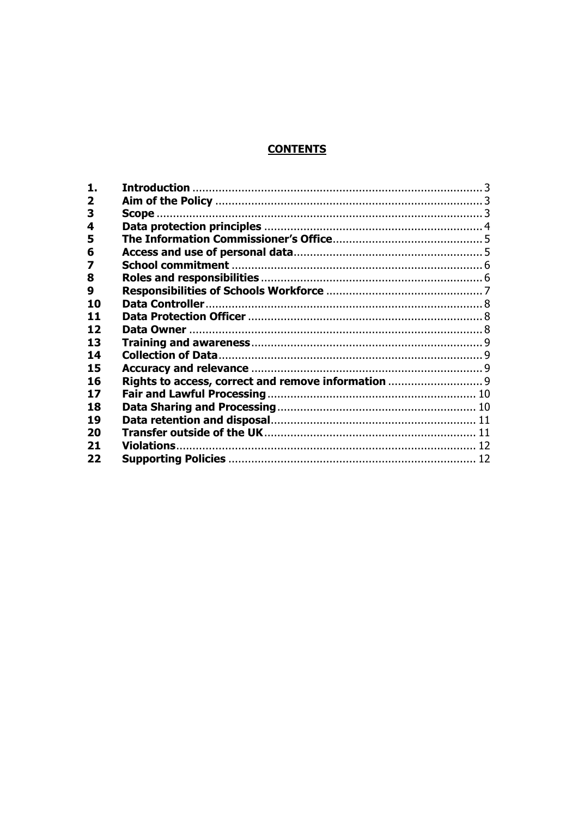# **CONTENTS**

| 1.                      |                                                     |  |
|-------------------------|-----------------------------------------------------|--|
| $\overline{\mathbf{2}}$ |                                                     |  |
| 3                       |                                                     |  |
| 4                       |                                                     |  |
| 5                       |                                                     |  |
| 6                       |                                                     |  |
| 7                       |                                                     |  |
| 8                       |                                                     |  |
| 9                       |                                                     |  |
| 10                      |                                                     |  |
| 11                      |                                                     |  |
| 12                      |                                                     |  |
| 13                      |                                                     |  |
| 14                      |                                                     |  |
| 15                      |                                                     |  |
| 16                      | Rights to access, correct and remove information  9 |  |
| 17                      |                                                     |  |
| 18                      |                                                     |  |
| 19                      |                                                     |  |
| 20                      |                                                     |  |
| 21                      |                                                     |  |
| 22                      |                                                     |  |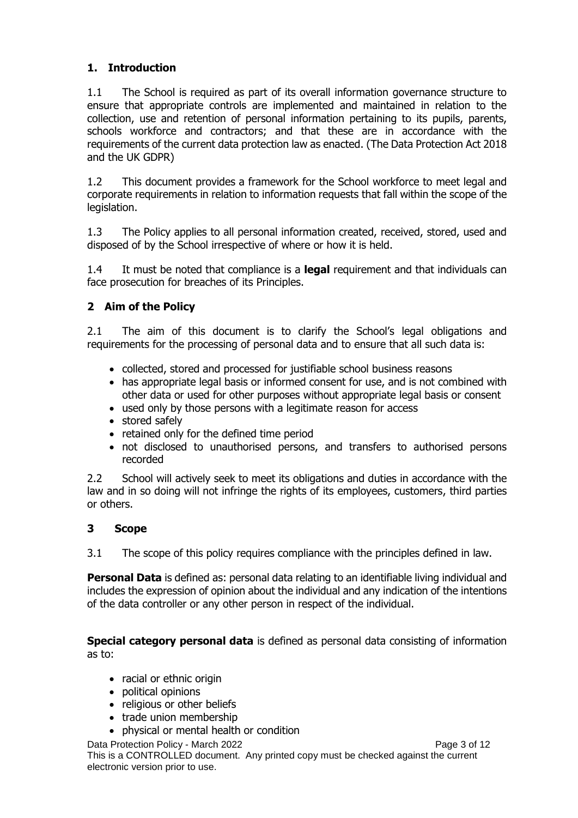# <span id="page-2-0"></span>**1. Introduction**

1.1 The School is required as part of its overall information governance structure to ensure that appropriate controls are implemented and maintained in relation to the collection, use and retention of personal information pertaining to its pupils, parents, schools workforce and contractors; and that these are in accordance with the requirements of the current data protection law as enacted. (The Data Protection Act 2018 and the UK GDPR)

1.2 This document provides a framework for the School workforce to meet legal and corporate requirements in relation to information requests that fall within the scope of the legislation.

1.3 The Policy applies to all personal information created, received, stored, used and disposed of by the School irrespective of where or how it is held.

1.4 It must be noted that compliance is a **legal** requirement and that individuals can face prosecution for breaches of its Principles.

# <span id="page-2-1"></span>**2 Aim of the Policy**

2.1 The aim of this document is to clarify the School's legal obligations and requirements for the processing of personal data and to ensure that all such data is:

- collected, stored and processed for justifiable school business reasons
- has appropriate legal basis or informed consent for use, and is not combined with other data or used for other purposes without appropriate legal basis or consent
- used only by those persons with a legitimate reason for access
- stored safely
- retained only for the defined time period
- not disclosed to unauthorised persons, and transfers to authorised persons recorded

2.2 School will actively seek to meet its obligations and duties in accordance with the law and in so doing will not infringe the rights of its employees, customers, third parties or others.

#### <span id="page-2-2"></span>**3 Scope**

3.1 The scope of this policy requires compliance with the principles defined in law.

**Personal Data** is defined as: personal data relating to an identifiable living individual and includes the expression of opinion about the individual and any indication of the intentions of the data controller or any other person in respect of the individual.

**Special category personal data** is defined as personal data consisting of information as to:

- racial or ethnic origin
- political opinions
- religious or other beliefs
- trade union membership
- physical or mental health or condition

Data Protection Policy - March 2022 **Page 3 of 12** 

This is a CONTROLLED document. Any printed copy must be checked against the current electronic version prior to use.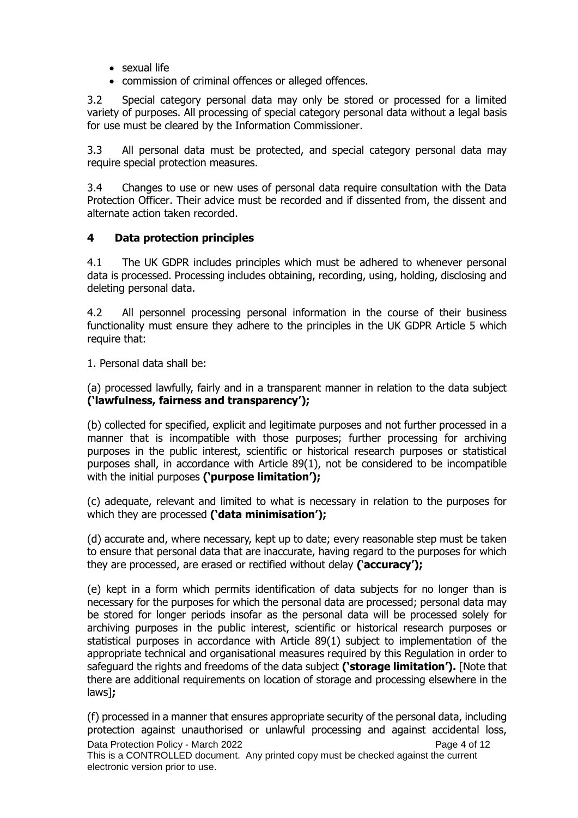- sexual life
- commission of criminal offences or alleged offences.

3.2 Special category personal data may only be stored or processed for a limited variety of purposes. All processing of special category personal data without a legal basis for use must be cleared by the Information Commissioner.

3.3 All personal data must be protected, and special category personal data may require special protection measures.

3.4 Changes to use or new uses of personal data require consultation with the Data Protection Officer. Their advice must be recorded and if dissented from, the dissent and alternate action taken recorded.

### <span id="page-3-0"></span>**4 Data protection principles**

4.1 The UK GDPR includes principles which must be adhered to whenever personal data is processed. Processing includes obtaining, recording, using, holding, disclosing and deleting personal data.

4.2 All personnel processing personal information in the course of their business functionality must ensure they adhere to the principles in the UK GDPR Article 5 which require that:

1. Personal data shall be:

(a) processed lawfully, fairly and in a transparent manner in relation to the data subject **('lawfulness, fairness and transparency');** 

(b) collected for specified, explicit and legitimate purposes and not further processed in a manner that is incompatible with those purposes; further processing for archiving purposes in the public interest, scientific or historical research purposes or statistical purposes shall, in accordance with Article 89(1), not be considered to be incompatible with the initial purposes **('purpose limitation');** 

(c) adequate, relevant and limited to what is necessary in relation to the purposes for which they are processed **('data minimisation');** 

(d) accurate and, where necessary, kept up to date; every reasonable step must be taken to ensure that personal data that are inaccurate, having regard to the purposes for which they are processed, are erased or rectified without delay **(**'**accuracy');** 

(e) kept in a form which permits identification of data subjects for no longer than is necessary for the purposes for which the personal data are processed; personal data may be stored for longer periods insofar as the personal data will be processed solely for archiving purposes in the public interest, scientific or historical research purposes or statistical purposes in accordance with Article 89(1) subject to implementation of the appropriate technical and organisational measures required by this Regulation in order to safeguard the rights and freedoms of the data subject **('storage limitation').** [Note that there are additional requirements on location of storage and processing elsewhere in the laws]**;** 

Data Protection Policy - March 2022 **Page 4 of 12** This is a CONTROLLED document. Any printed copy must be checked against the current electronic version prior to use. (f) processed in a manner that ensures appropriate security of the personal data, including protection against unauthorised or unlawful processing and against accidental loss,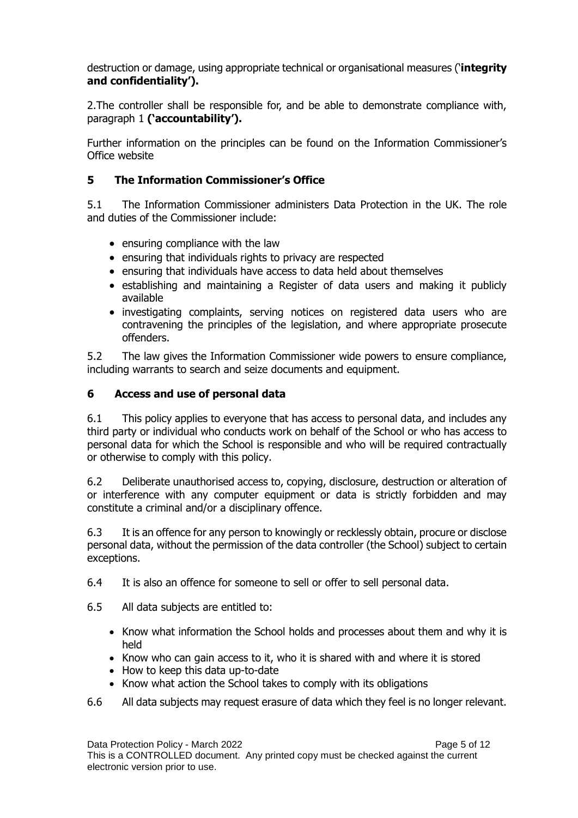destruction or damage, using appropriate technical or organisational measures ('**integrity and confidentiality').** 

2.The controller shall be responsible for, and be able to demonstrate compliance with, paragraph 1 **('accountability').**

Further information on the principles can be found on the Information Commissioner's Office website

# <span id="page-4-0"></span>**5 The Information Commissioner's Office**

5.1 The Information Commissioner administers Data Protection in the UK. The role and duties of the Commissioner include:

- ensuring compliance with the law
- ensuring that individuals rights to privacy are respected
- ensuring that individuals have access to data held about themselves
- establishing and maintaining a Register of data users and making it publicly available
- investigating complaints, serving notices on registered data users who are contravening the principles of the legislation, and where appropriate prosecute offenders.

5.2 The law gives the Information Commissioner wide powers to ensure compliance, including warrants to search and seize documents and equipment.

# <span id="page-4-1"></span>**6 Access and use of personal data**

6.1 This policy applies to everyone that has access to personal data, and includes any third party or individual who conducts work on behalf of the School or who has access to personal data for which the School is responsible and who will be required contractually or otherwise to comply with this policy.

6.2 Deliberate unauthorised access to, copying, disclosure, destruction or alteration of or interference with any computer equipment or data is strictly forbidden and may constitute a criminal and/or a disciplinary offence.

6.3 It is an offence for any person to knowingly or recklessly obtain, procure or disclose personal data, without the permission of the data controller (the School) subject to certain exceptions.

- 6.4 It is also an offence for someone to sell or offer to sell personal data.
- 6.5 All data subjects are entitled to:
	- Know what information the School holds and processes about them and why it is held
	- Know who can gain access to it, who it is shared with and where it is stored
	- How to keep this data up-to-date
	- Know what action the School takes to comply with its obligations
- 6.6 All data subjects may request erasure of data which they feel is no longer relevant.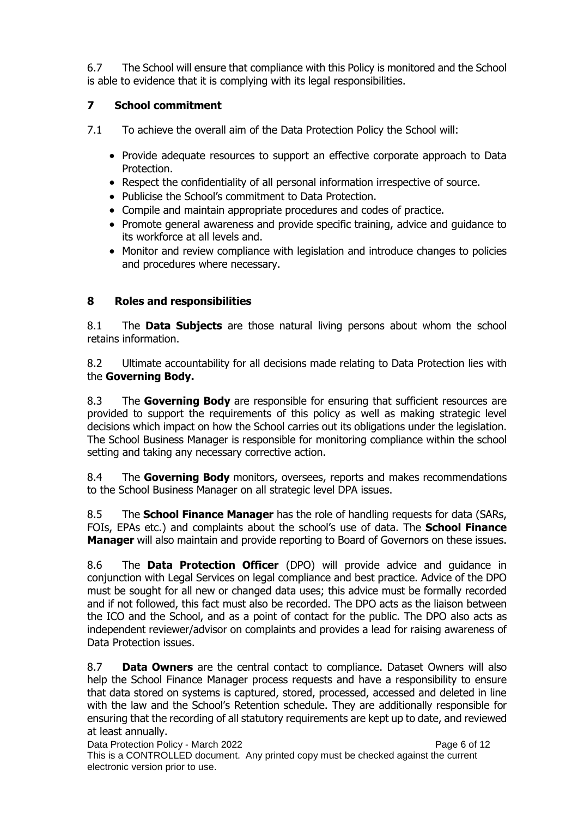6.7 The School will ensure that compliance with this Policy is monitored and the School is able to evidence that it is complying with its legal responsibilities.

# <span id="page-5-0"></span>**7 School commitment**

7.1 To achieve the overall aim of the Data Protection Policy the School will:

- Provide adequate resources to support an effective corporate approach to Data Protection.
- Respect the confidentiality of all personal information irrespective of source.
- Publicise the School's commitment to Data Protection.
- Compile and maintain appropriate procedures and codes of practice.
- Promote general awareness and provide specific training, advice and guidance to its workforce at all levels and.
- Monitor and review compliance with legislation and introduce changes to policies and procedures where necessary.

# <span id="page-5-1"></span>**8 Roles and responsibilities**

8.1 The **Data Subjects** are those natural living persons about whom the school retains information.

8.2 Ultimate accountability for all decisions made relating to Data Protection lies with the **Governing Body.**

8.3 The **Governing Body** are responsible for ensuring that sufficient resources are provided to support the requirements of this policy as well as making strategic level decisions which impact on how the School carries out its obligations under the legislation. The School Business Manager is responsible for monitoring compliance within the school setting and taking any necessary corrective action.

8.4 The **Governing Body** monitors, oversees, reports and makes recommendations to the School Business Manager on all strategic level DPA issues.

8.5 The **School Finance Manager** has the role of handling requests for data (SARs, FOIs, EPAs etc.) and complaints about the school's use of data. The **School Finance Manager** will also maintain and provide reporting to Board of Governors on these issues.

8.6 The **Data Protection Officer** (DPO) will provide advice and guidance in conjunction with Legal Services on legal compliance and best practice. Advice of the DPO must be sought for all new or changed data uses; this advice must be formally recorded and if not followed, this fact must also be recorded. The DPO acts as the liaison between the ICO and the School, and as a point of contact for the public. The DPO also acts as independent reviewer/advisor on complaints and provides a lead for raising awareness of Data Protection issues.

8.7 **Data Owners** are the central contact to compliance. Dataset Owners will also help the School Finance Manager process requests and have a responsibility to ensure that data stored on systems is captured, stored, processed, accessed and deleted in line with the law and the School's Retention schedule. They are additionally responsible for ensuring that the recording of all statutory requirements are kept up to date, and reviewed at least annually.

Data Protection Policy - March 2022 **Page 6 of 12** This is a CONTROLLED document. Any printed copy must be checked against the current electronic version prior to use.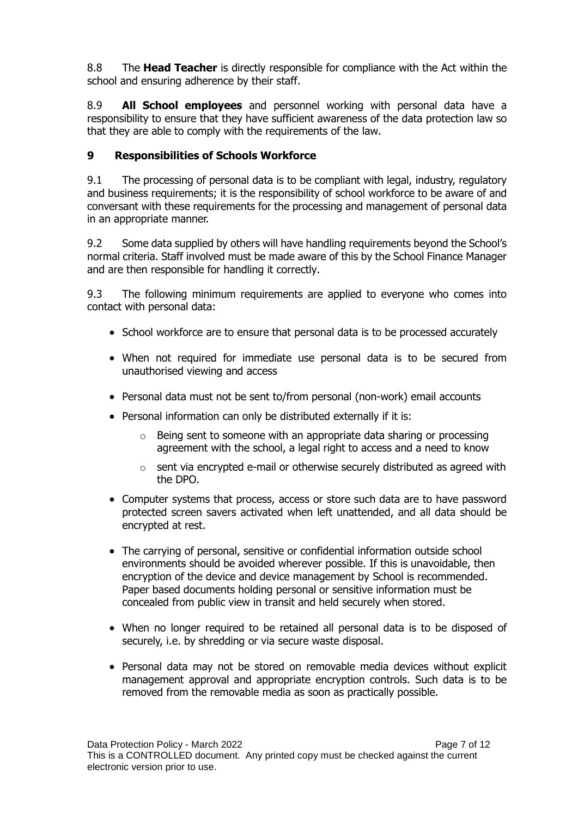8.8 The **Head Teacher** is directly responsible for compliance with the Act within the school and ensuring adherence by their staff.

8.9 **All School employees** and personnel working with personal data have a responsibility to ensure that they have sufficient awareness of the data protection law so that they are able to comply with the requirements of the law.

# <span id="page-6-0"></span>**9 Responsibilities of Schools Workforce**

9.1 The processing of personal data is to be compliant with legal, industry, regulatory and business requirements; it is the responsibility of school workforce to be aware of and conversant with these requirements for the processing and management of personal data in an appropriate manner.

9.2 Some data supplied by others will have handling requirements beyond the School's normal criteria. Staff involved must be made aware of this by the School Finance Manager and are then responsible for handling it correctly.

9.3 The following minimum requirements are applied to everyone who comes into contact with personal data:

- School workforce are to ensure that personal data is to be processed accurately
- When not required for immediate use personal data is to be secured from unauthorised viewing and access
- Personal data must not be sent to/from personal (non-work) email accounts
- Personal information can only be distributed externally if it is:
	- o Being sent to someone with an appropriate data sharing or processing agreement with the school, a legal right to access and a need to know
	- o sent via encrypted e-mail or otherwise securely distributed as agreed with the DPO.
- Computer systems that process, access or store such data are to have password protected screen savers activated when left unattended, and all data should be encrypted at rest.
- The carrying of personal, sensitive or confidential information outside school environments should be avoided wherever possible. If this is unavoidable, then encryption of the device and device management by School is recommended. Paper based documents holding personal or sensitive information must be concealed from public view in transit and held securely when stored.
- When no longer required to be retained all personal data is to be disposed of securely, i.e. by shredding or via secure waste disposal.
- Personal data may not be stored on removable media devices without explicit management approval and appropriate encryption controls. Such data is to be removed from the removable media as soon as practically possible.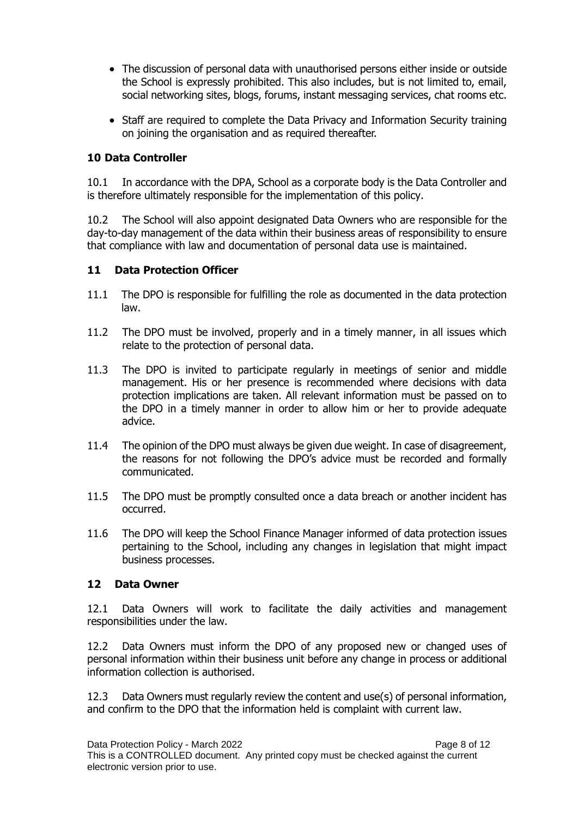- The discussion of personal data with unauthorised persons either inside or outside the School is expressly prohibited. This also includes, but is not limited to, email, social networking sites, blogs, forums, instant messaging services, chat rooms etc.
- Staff are required to complete the Data Privacy and Information Security training on joining the organisation and as required thereafter.

# <span id="page-7-0"></span>**10 Data Controller**

10.1 In accordance with the DPA, School as a corporate body is the Data Controller and is therefore ultimately responsible for the implementation of this policy.

10.2 The School will also appoint designated Data Owners who are responsible for the day-to-day management of the data within their business areas of responsibility to ensure that compliance with law and documentation of personal data use is maintained.

#### <span id="page-7-1"></span>**11 Data Protection Officer**

- 11.1 The DPO is responsible for fulfilling the role as documented in the data protection law.
- 11.2 The DPO must be involved, properly and in a timely manner, in all issues which relate to the protection of personal data.
- 11.3 The DPO is invited to participate regularly in meetings of senior and middle management. His or her presence is recommended where decisions with data protection implications are taken. All relevant information must be passed on to the DPO in a timely manner in order to allow him or her to provide adequate advice.
- 11.4 The opinion of the DPO must always be given due weight. In case of disagreement, the reasons for not following the DPO's advice must be recorded and formally communicated.
- 11.5 The DPO must be promptly consulted once a data breach or another incident has occurred.
- 11.6 The DPO will keep the School Finance Manager informed of data protection issues pertaining to the School, including any changes in legislation that might impact business processes.

#### <span id="page-7-2"></span>**12 Data Owner**

12.1 Data Owners will work to facilitate the daily activities and management responsibilities under the law.

12.2 Data Owners must inform the DPO of any proposed new or changed uses of personal information within their business unit before any change in process or additional information collection is authorised.

12.3 Data Owners must regularly review the content and use(s) of personal information, and confirm to the DPO that the information held is complaint with current law.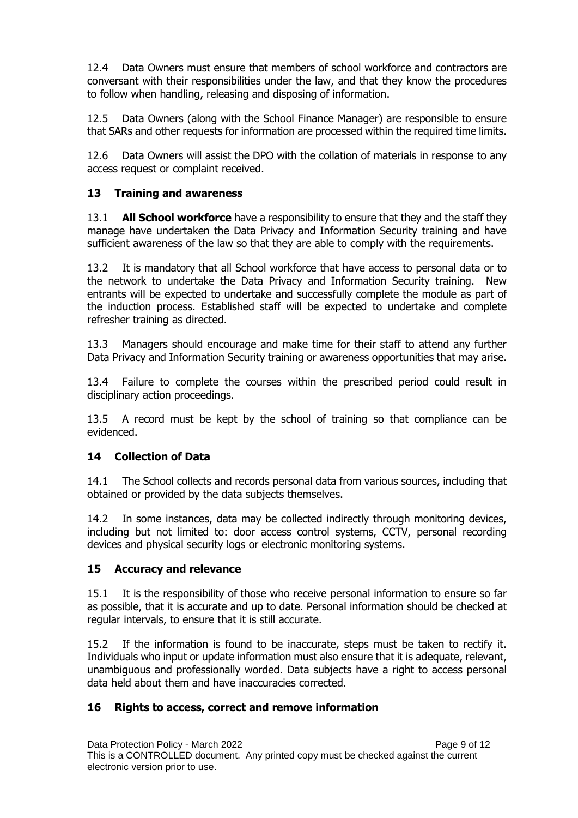12.4 Data Owners must ensure that members of school workforce and contractors are conversant with their responsibilities under the law, and that they know the procedures to follow when handling, releasing and disposing of information.

12.5 Data Owners (along with the School Finance Manager) are responsible to ensure that SARs and other requests for information are processed within the required time limits.

12.6 Data Owners will assist the DPO with the collation of materials in response to any access request or complaint received.

# <span id="page-8-0"></span>**13 Training and awareness**

13.1 **All School workforce** have a responsibility to ensure that they and the staff they manage have undertaken the Data Privacy and Information Security training and have sufficient awareness of the law so that they are able to comply with the requirements.

13.2 It is mandatory that all School workforce that have access to personal data or to the network to undertake the Data Privacy and Information Security training. New entrants will be expected to undertake and successfully complete the module as part of the induction process. Established staff will be expected to undertake and complete refresher training as directed.

13.3 Managers should encourage and make time for their staff to attend any further Data Privacy and Information Security training or awareness opportunities that may arise.

13.4 Failure to complete the courses within the prescribed period could result in disciplinary action proceedings.

13.5 A record must be kept by the school of training so that compliance can be evidenced.

# <span id="page-8-1"></span>**14 Collection of Data**

14.1 The School collects and records personal data from various sources, including that obtained or provided by the data subjects themselves.

14.2 In some instances, data may be collected indirectly through monitoring devices, including but not limited to: door access control systems, CCTV, personal recording devices and physical security logs or electronic monitoring systems.

#### <span id="page-8-2"></span>**15 Accuracy and relevance**

15.1 It is the responsibility of those who receive personal information to ensure so far as possible, that it is accurate and up to date. Personal information should be checked at regular intervals, to ensure that it is still accurate.

15.2 If the information is found to be inaccurate, steps must be taken to rectify it. Individuals who input or update information must also ensure that it is adequate, relevant, unambiguous and professionally worded. Data subjects have a right to access personal data held about them and have inaccuracies corrected.

# <span id="page-8-3"></span>**16 Rights to access, correct and remove information**

Data Protection Policy - March 2022 **Page 9 of 12** This is a CONTROLLED document. Any printed copy must be checked against the current electronic version prior to use.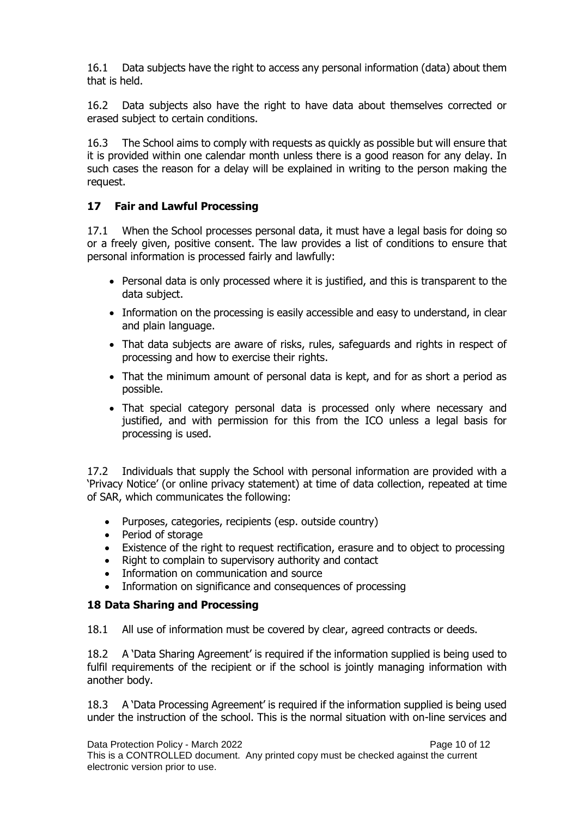16.1 Data subjects have the right to access any personal information (data) about them that is held.

16.2 Data subjects also have the right to have data about themselves corrected or erased subject to certain conditions.

16.3 The School aims to comply with requests as quickly as possible but will ensure that it is provided within one calendar month unless there is a good reason for any delay. In such cases the reason for a delay will be explained in writing to the person making the request.

# <span id="page-9-0"></span>**17 Fair and Lawful Processing**

17.1 When the School processes personal data, it must have a legal basis for doing so or a freely given, positive consent. The law provides a list of conditions to ensure that personal information is processed fairly and lawfully:

- Personal data is only processed where it is justified, and this is transparent to the data subject.
- Information on the processing is easily accessible and easy to understand, in clear and plain language.
- That data subjects are aware of risks, rules, safeguards and rights in respect of processing and how to exercise their rights.
- That the minimum amount of personal data is kept, and for as short a period as possible.
- That special category personal data is processed only where necessary and justified, and with permission for this from the ICO unless a legal basis for processing is used.

17.2 Individuals that supply the School with personal information are provided with a 'Privacy Notice' (or online privacy statement) at time of data collection, repeated at time of SAR, which communicates the following:

- Purposes, categories, recipients (esp. outside country)
- Period of storage
- Existence of the right to request rectification, erasure and to object to processing
- Right to complain to supervisory authority and contact
- Information on communication and source
- Information on significance and consequences of processing

# <span id="page-9-1"></span>**18 Data Sharing and Processing**

18.1 All use of information must be covered by clear, agreed contracts or deeds.

18.2 A 'Data Sharing Agreement' is required if the information supplied is being used to fulfil requirements of the recipient or if the school is jointly managing information with another body.

18.3 A 'Data Processing Agreement' is required if the information supplied is being used under the instruction of the school. This is the normal situation with on-line services and

Data Protection Policy - March 2022 **Page 10 of 12** Page 10 of 12 This is a CONTROLLED document. Any printed copy must be checked against the current electronic version prior to use.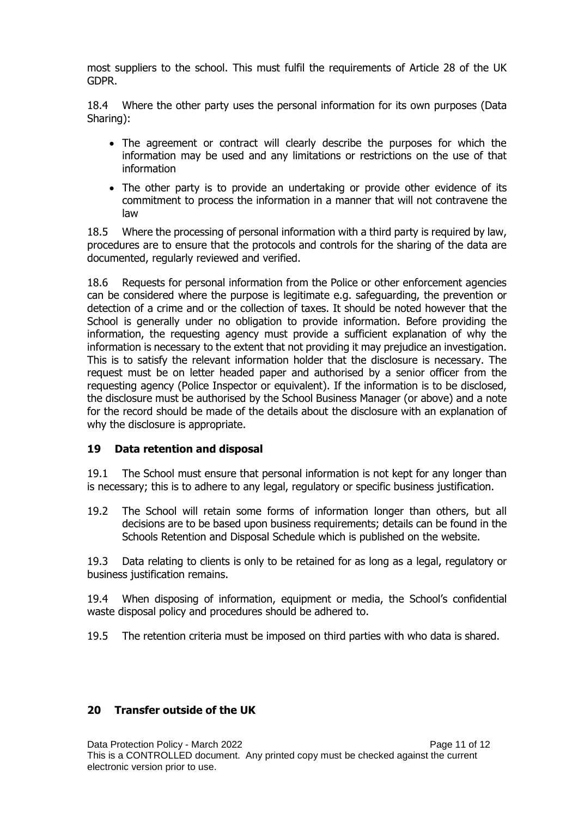most suppliers to the school. This must fulfil the requirements of Article 28 of the UK GDPR.

18.4 Where the other party uses the personal information for its own purposes (Data Sharing):

- The agreement or contract will clearly describe the purposes for which the information may be used and any limitations or restrictions on the use of that information
- The other party is to provide an undertaking or provide other evidence of its commitment to process the information in a manner that will not contravene the law

18.5 Where the processing of personal information with a third party is required by law, procedures are to ensure that the protocols and controls for the sharing of the data are documented, regularly reviewed and verified.

18.6 Requests for personal information from the Police or other enforcement agencies can be considered where the purpose is legitimate e.g. safeguarding, the prevention or detection of a crime and or the collection of taxes. It should be noted however that the School is generally under no obligation to provide information. Before providing the information, the requesting agency must provide a sufficient explanation of why the information is necessary to the extent that not providing it may prejudice an investigation. This is to satisfy the relevant information holder that the disclosure is necessary. The request must be on letter headed paper and authorised by a senior officer from the requesting agency (Police Inspector or equivalent). If the information is to be disclosed, the disclosure must be authorised by the School Business Manager (or above) and a note for the record should be made of the details about the disclosure with an explanation of why the disclosure is appropriate.

# <span id="page-10-0"></span>**19 Data retention and disposal**

19.1 The School must ensure that personal information is not kept for any longer than is necessary; this is to adhere to any legal, regulatory or specific business justification.

19.2 The School will retain some forms of information longer than others, but all decisions are to be based upon business requirements; details can be found in the Schools Retention and Disposal Schedule which is published on the website.

19.3 Data relating to clients is only to be retained for as long as a legal, regulatory or business justification remains.

19.4 When disposing of information, equipment or media, the School's confidential waste disposal policy and procedures should be adhered to.

19.5 The retention criteria must be imposed on third parties with who data is shared.

# <span id="page-10-1"></span>**20 Transfer outside of the UK**